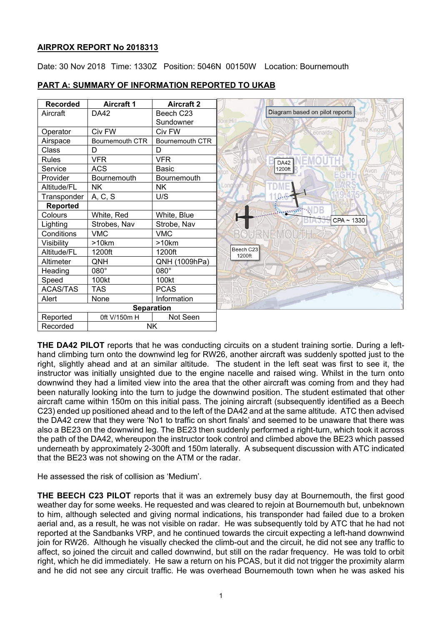## **AIRPROX REPORT No 2018313**

Date: 30 Nov 2018 Time: 1330Z Position: 5046N 00150W Location: Bournemouth



## **PART A: SUMMARY OF INFORMATION REPORTED TO UKAB**

**THE DA42 PILOT** reports that he was conducting circuits on a student training sortie. During a lefthand climbing turn onto the downwind leg for RW26, another aircraft was suddenly spotted just to the right, slightly ahead and at an similar altitude. The student in the left seat was first to see it, the instructor was initially unsighted due to the engine nacelle and raised wing. Whilst in the turn onto downwind they had a limited view into the area that the other aircraft was coming from and they had been naturally looking into the turn to judge the downwind position. The student estimated that other aircraft came within 150m on this initial pass. The joining aircraft (subsequently identified as a Beech C23) ended up positioned ahead and to the left of the DA42 and at the same altitude. ATC then advised the DA42 crew that they were 'No1 to traffic on short finals' and seemed to be unaware that there was also a BE23 on the downwind leg. The BE23 then suddenly performed a right-turn, which took it across the path of the DA42, whereupon the instructor took control and climbed above the BE23 which passed underneath by approximately 2-300ft and 150m laterally. A subsequent discussion with ATC indicated that the BE23 was not showing on the ATM or the radar.

He assessed the risk of collision as 'Medium'.

**THE BEECH C23 PILOT** reports that it was an extremely busy day at Bournemouth, the first good weather day for some weeks. He requested and was cleared to rejoin at Bournemouth but, unbeknown to him, although selected and giving normal indications, his transponder had failed due to a broken aerial and, as a result, he was not visible on radar. He was subsequently told by ATC that he had not reported at the Sandbanks VRP, and he continued towards the circuit expecting a left-hand downwind join for RW26. Although he visually checked the climb-out and the circuit, he did not see any traffic to affect, so joined the circuit and called downwind, but still on the radar frequency. He was told to orbit right, which he did immediately. He saw a return on his PCAS, but it did not trigger the proximity alarm and he did not see any circuit traffic. He was overhead Bournemouth town when he was asked his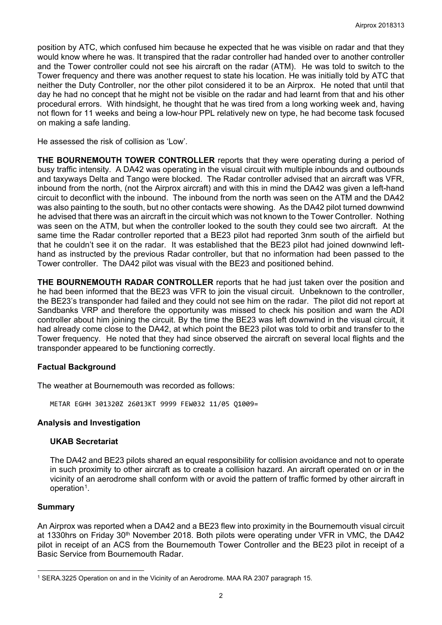position by ATC, which confused him because he expected that he was visible on radar and that they would know where he was. It transpired that the radar controller had handed over to another controller and the Tower controller could not see his aircraft on the radar (ATM). He was told to switch to the Tower frequency and there was another request to state his location. He was initially told by ATC that neither the Duty Controller, nor the other pilot considered it to be an Airprox. He noted that until that day he had no concept that he might not be visible on the radar and had learnt from that and his other procedural errors. With hindsight, he thought that he was tired from a long working week and, having not flown for 11 weeks and being a low-hour PPL relatively new on type, he had become task focused on making a safe landing.

He assessed the risk of collision as 'Low'.

**THE BOURNEMOUTH TOWER CONTROLLER** reports that they were operating during a period of busy traffic intensity. A DA42 was operating in the visual circuit with multiple inbounds and outbounds and taxyways Delta and Tango were blocked. The Radar controller advised that an aircraft was VFR, inbound from the north, (not the Airprox aircraft) and with this in mind the DA42 was given a left-hand circuit to deconflict with the inbound. The inbound from the north was seen on the ATM and the DA42 was also painting to the south, but no other contacts were showing. As the DA42 pilot turned downwind he advised that there was an aircraft in the circuit which was not known to the Tower Controller. Nothing was seen on the ATM, but when the controller looked to the south they could see two aircraft. At the same time the Radar controller reported that a BE23 pilot had reported 3nm south of the airfield but that he couldn't see it on the radar. It was established that the BE23 pilot had joined downwind lefthand as instructed by the previous Radar controller, but that no information had been passed to the Tower controller. The DA42 pilot was visual with the BE23 and positioned behind.

**THE BOURNEMOUTH RADAR CONTROLLER** reports that he had just taken over the position and he had been informed that the BE23 was VFR to join the visual circuit. Unbeknown to the controller, the BE23's transponder had failed and they could not see him on the radar. The pilot did not report at Sandbanks VRP and therefore the opportunity was missed to check his position and warn the ADI controller about him joining the circuit. By the time the BE23 was left downwind in the visual circuit, it had already come close to the DA42, at which point the BE23 pilot was told to orbit and transfer to the Tower frequency. He noted that they had since observed the aircraft on several local flights and the transponder appeared to be functioning correctly.

### **Factual Background**

The weather at Bournemouth was recorded as follows:

METAR EGHH 301320Z 26013KT 9999 FEW032 11/05 Q1009=

### **Analysis and Investigation**

### **UKAB Secretariat**

The DA42 and BE23 pilots shared an equal responsibility for collision avoidance and not to operate in such proximity to other aircraft as to create a collision hazard. An aircraft operated on or in the vicinity of an aerodrome shall conform with or avoid the pattern of traffic formed by other aircraft in operation<sup>1</sup>.

### **Summary**

 $\overline{a}$ 

An Airprox was reported when a DA42 and a BE23 flew into proximity in the Bournemouth visual circuit at 1330hrs on Friday 30th November 2018. Both pilots were operating under VFR in VMC, the DA42 pilot in receipt of an ACS from the Bournemouth Tower Controller and the BE23 pilot in receipt of a Basic Service from Bournemouth Radar.

<span id="page-1-0"></span><sup>1</sup> SERA.3225 Operation on and in the Vicinity of an Aerodrome. MAA RA 2307 paragraph 15.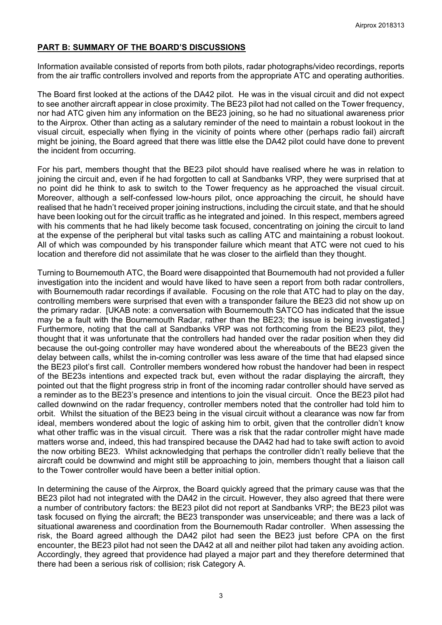## **PART B: SUMMARY OF THE BOARD'S DISCUSSIONS**

Information available consisted of reports from both pilots, radar photographs/video recordings, reports from the air traffic controllers involved and reports from the appropriate ATC and operating authorities.

The Board first looked at the actions of the DA42 pilot. He was in the visual circuit and did not expect to see another aircraft appear in close proximity. The BE23 pilot had not called on the Tower frequency, nor had ATC given him any information on the BE23 joining, so he had no situational awareness prior to the Airprox. Other than acting as a salutary reminder of the need to maintain a robust lookout in the visual circuit, especially when flying in the vicinity of points where other (perhaps radio fail) aircraft might be joining, the Board agreed that there was little else the DA42 pilot could have done to prevent the incident from occurring.

For his part, members thought that the BE23 pilot should have realised where he was in relation to joining the circuit and, even if he had forgotten to call at Sandbanks VRP, they were surprised that at no point did he think to ask to switch to the Tower frequency as he approached the visual circuit. Moreover, although a self-confessed low-hours pilot, once approaching the circuit, he should have realised that he hadn't received proper joining instructions, including the circuit state, and that he should have been looking out for the circuit traffic as he integrated and joined. In this respect, members agreed with his comments that he had likely become task focused, concentrating on joining the circuit to land at the expense of the peripheral but vital tasks such as calling ATC and maintaining a robust lookout. All of which was compounded by his transponder failure which meant that ATC were not cued to his location and therefore did not assimilate that he was closer to the airfield than they thought.

Turning to Bournemouth ATC, the Board were disappointed that Bournemouth had not provided a fuller investigation into the incident and would have liked to have seen a report from both radar controllers, with Bournemouth radar recordings if available. Focusing on the role that ATC had to play on the day, controlling members were surprised that even with a transponder failure the BE23 did not show up on the primary radar. [UKAB note: a conversation with Bournemouth SATCO has indicated that the issue may be a fault with the Bournemouth Radar, rather than the BE23; the issue is being investigated.] Furthermore, noting that the call at Sandbanks VRP was not forthcoming from the BE23 pilot, they thought that it was unfortunate that the controllers had handed over the radar position when they did because the out-going controller may have wondered about the whereabouts of the BE23 given the delay between calls, whilst the in-coming controller was less aware of the time that had elapsed since the BE23 pilot's first call. Controller members wondered how robust the handover had been in respect of the BE23s intentions and expected track but, even without the radar displaying the aircraft, they pointed out that the flight progress strip in front of the incoming radar controller should have served as a reminder as to the BE23's presence and intentions to join the visual circuit. Once the BE23 pilot had called downwind on the radar frequency, controller members noted that the controller had told him to orbit. Whilst the situation of the BE23 being in the visual circuit without a clearance was now far from ideal, members wondered about the logic of asking him to orbit, given that the controller didn't know what other traffic was in the visual circuit. There was a risk that the radar controller might have made matters worse and, indeed, this had transpired because the DA42 had had to take swift action to avoid the now orbiting BE23. Whilst acknowledging that perhaps the controller didn't really believe that the aircraft could be downwind and might still be approaching to join, members thought that a liaison call to the Tower controller would have been a better initial option.

In determining the cause of the Airprox, the Board quickly agreed that the primary cause was that the BE23 pilot had not integrated with the DA42 in the circuit. However, they also agreed that there were a number of contributory factors: the BE23 pilot did not report at Sandbanks VRP; the BE23 pilot was task focused on flying the aircraft; the BE23 transponder was unserviceable; and there was a lack of situational awareness and coordination from the Bournemouth Radar controller. When assessing the risk, the Board agreed although the DA42 pilot had seen the BE23 just before CPA on the first encounter, the BE23 pilot had not seen the DA42 at all and neither pilot had taken any avoiding action. Accordingly, they agreed that providence had played a major part and they therefore determined that there had been a serious risk of collision; risk Category A.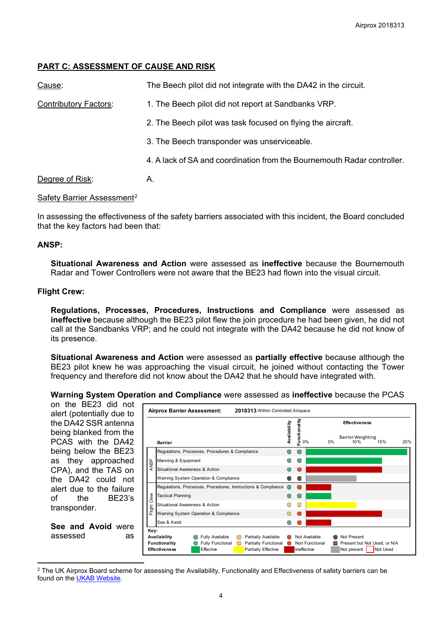# **PART C: ASSESSMENT OF CAUSE AND RISK**

| Cause:                       | The Beech pilot did not integrate with the DA42 in the circuit.         |
|------------------------------|-------------------------------------------------------------------------|
| <b>Contributory Factors:</b> | 1. The Beech pilot did not report at Sandbanks VRP.                     |
|                              | 2. The Beech pilot was task focused on flying the aircraft.             |
|                              | 3. The Beech transponder was unserviceable.                             |
|                              | 4. A lack of SA and coordination from the Bournemouth Radar controller. |
| Degree of Risk:              | Α.                                                                      |

### Safety Barrier Assessment<sup>[2](#page-3-0)</sup>

In assessing the effectiveness of the safety barriers associated with this incident, the Board concluded that the key factors had been that:

### **ANSP:**

**Situational Awareness and Action** were assessed as **ineffective** because the Bournemouth Radar and Tower Controllers were not aware that the BE23 had flown into the visual circuit.

### **Flight Crew:**

**Regulations, Processes, Procedures, Instructions and Compliance** were assessed as **ineffective** because although the BE23 pilot flew the join procedure he had been given, he did not call at the Sandbanks VRP; and he could not integrate with the DA42 because he did not know of its presence.

**Situational Awareness and Action** were assessed as **partially effective** because although the BE23 pilot knew he was approaching the visual circuit, he joined without contacting the Tower frequency and therefore did not know about the DA42 that he should have integrated with.

### **Warning System Operation and Compliance** were assessed as **ineffective** because the PCAS

on the BE23 did not **Airprox Barrier Assessment: 2018313-**Within Controlled Airspace alert (potentially due to **Functionality** the DA42 SSR antenna Functionality **Effectiveness** Availability **Availability** being blanked from the 0% 5% 10% 15% 20% Barrier WeightingPCAS with the DA42 **Barrier** being below the BE23 Regulations, Processes, Procedures & Compliance  $\bullet$ Ċ as they approached Manning & Equipment  $\overline{\bigcirc}$  $\bigcirc$ Manning<br>  $\frac{6}{5}$ <br>
Situations<br>
Warning<br>
Regulation<br>
Tactical F<br>
Situations<br>
The Situations<br>
See & Aw<br> **Key:**<br> **Effectiveness** Situational Awareness & Action CPA), and the TAS on  $\bullet$  $\bullet$ Warning System Operation & Compliance  $\bullet$  $\bullet$ the DA42 could not Regulations, Processes, Procedures, Instructions & Compliance  $\circ$ alert due to the failure Tactical Planning  $\bigcirc$  $\bigcap$ Flight Crew of the BE23's O  $\bigcirc$ Situational Awareness & Action transponder. Warning System Operation & Compliance  $\bigcirc$  $\bullet$ See & Avoid  $\overline{\bigcirc}$  $\bullet$ **See and Avoid** were **Key:** assessed as **Availability O** Fully Available **O** Partially Available **O** Not Available **O** Not Present **Functionality C** Fully Functional C Partially Functional C Non Functional C Present but Not Used, or N/A Effective **Partially Effective Ineffective Not present Not Used** 

<span id="page-3-0"></span> $\overline{a}$ <sup>2</sup> The UK Airprox Board scheme for assessing the Availability, Functionality and Effectiveness of safety barriers can be found on the [UKAB Website.](http://www.airproxboard.org.uk/Learn-more/Airprox-Barrier-Assessment/)